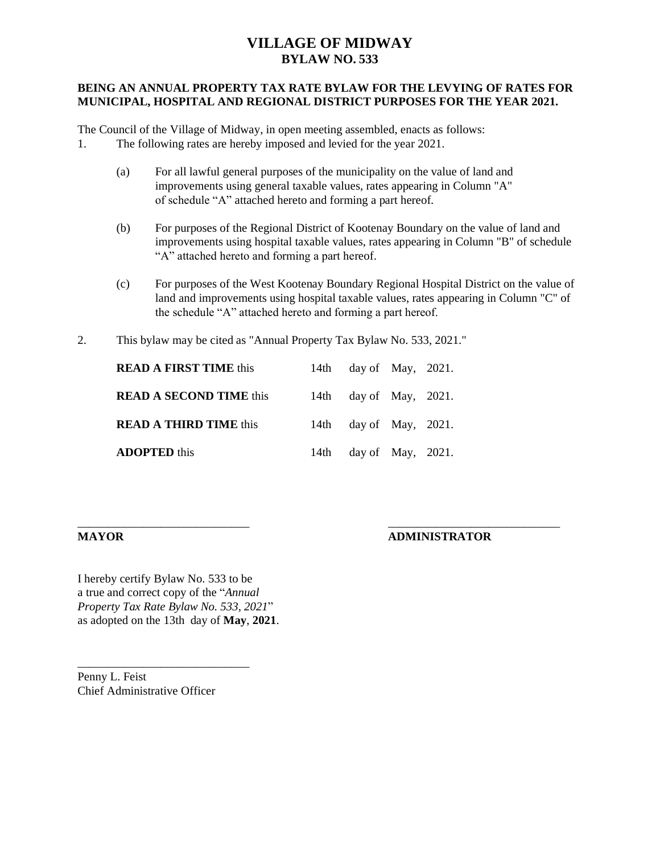## **VILLAGE OF MIDWAY BYLAW NO. 533**

### **BEING AN ANNUAL PROPERTY TAX RATE BYLAW FOR THE LEVYING OF RATES FOR MUNICIPAL, HOSPITAL AND REGIONAL DISTRICT PURPOSES FOR THE YEAR 2021.**

The Council of the Village of Midway, in open meeting assembled, enacts as follows: 1. The following rates are hereby imposed and levied for the year 2021.

- - (a) For all lawful general purposes of the municipality on the value of land and improvements using general taxable values, rates appearing in Column "A" of schedule "A" attached hereto and forming a part hereof.
	- (b) For purposes of the Regional District of Kootenay Boundary on the value of land and improvements using hospital taxable values, rates appearing in Column "B" of schedule "A" attached hereto and forming a part hereof.
	- (c) For purposes of the West Kootenay Boundary Regional Hospital District on the value of land and improvements using hospital taxable values, rates appearing in Column "C" of the schedule "A" attached hereto and forming a part hereof.
- 2. This bylaw may be cited as "Annual Property Tax Bylaw No. 533, 2021."

| <b>READ A FIRST TIME this</b>  | 14th day of May, $2021$ . |  |
|--------------------------------|---------------------------|--|
| <b>READ A SECOND TIME this</b> | 14th day of May, $2021$ . |  |
| <b>READ A THIRD TIME this</b>  | 14th day of May, $2021$ . |  |
| <b>ADOPTED</b> this            | 14th day of May, $2021$ . |  |

\_\_\_\_\_\_\_\_\_\_\_\_\_\_\_\_\_\_\_\_\_\_\_\_\_\_\_\_\_ \_\_\_\_\_\_\_\_\_\_\_\_\_\_\_\_\_\_\_\_\_\_\_\_\_\_\_\_\_

### **MAYOR ADMINISTRATOR**

I hereby certify Bylaw No. 533 to be a true and correct copy of the "*Annual Property Tax Rate Bylaw No. 533, 2021*" as adopted on the 13th day of **May**, **2021**.

Penny L. Feist Chief Administrative Officer

\_\_\_\_\_\_\_\_\_\_\_\_\_\_\_\_\_\_\_\_\_\_\_\_\_\_\_\_\_